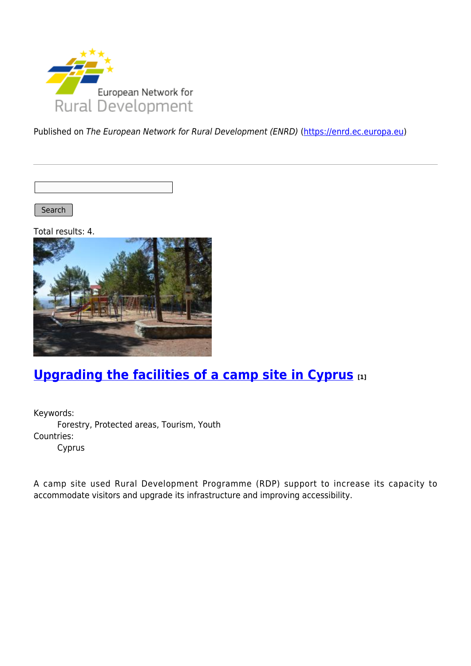

Published on The European Network for Rural Development (ENRD) [\(https://enrd.ec.europa.eu](https://enrd.ec.europa.eu))

Search |

Total results: 4.



# **[Upgrading the facilities of a camp site in Cyprus](https://enrd.ec.europa.eu/projects-practice/upgrading-facilities-camp-site-cyprus_en) [1]**

Keywords: Forestry, Protected areas, Tourism, Youth Countries: Cyprus

A camp site used Rural Development Programme (RDP) support to increase its capacity to accommodate visitors and upgrade its infrastructure and improving accessibility.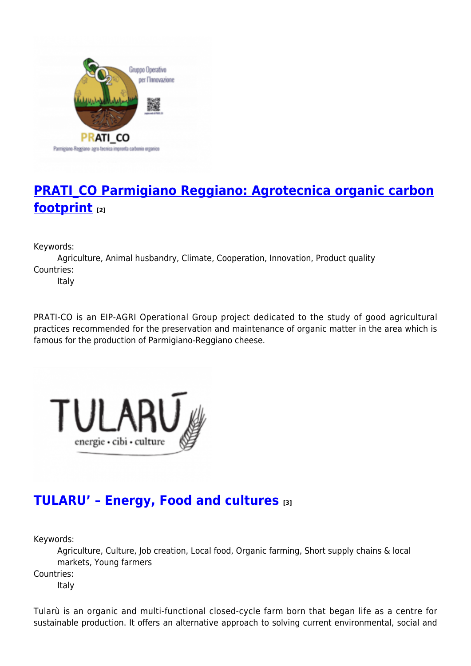

## **[PRATI\\_CO Parmigiano Reggiano: Agrotecnica organic carbon](https://enrd.ec.europa.eu/projects-practice/pratico-parmigiano-reggiano-agrotecnica-organic-carbon-footprint_en) [footprint](https://enrd.ec.europa.eu/projects-practice/pratico-parmigiano-reggiano-agrotecnica-organic-carbon-footprint_en) [2]**

Keywords:

Agriculture, Animal husbandry, Climate, Cooperation, Innovation, Product quality Countries:

Italy

PRATI-CO is an EIP-AGRI Operational Group project dedicated to the study of good agricultural practices recommended for the preservation and maintenance of organic matter in the area which is famous for the production of Parmigiano-Reggiano cheese.



## **[TULARU' – Energy, Food and cultures](https://enrd.ec.europa.eu/projects-practice/tularu-energy-food-and-cultures_en) [3]**

Keywords:

Agriculture, Culture, Job creation, Local food, Organic farming, Short supply chains & local markets, Young farmers Countries:

Italy

Tularù is an organic and multi-functional closed-cycle farm born that began life as a centre for sustainable production. It offers an alternative approach to solving current environmental, social and